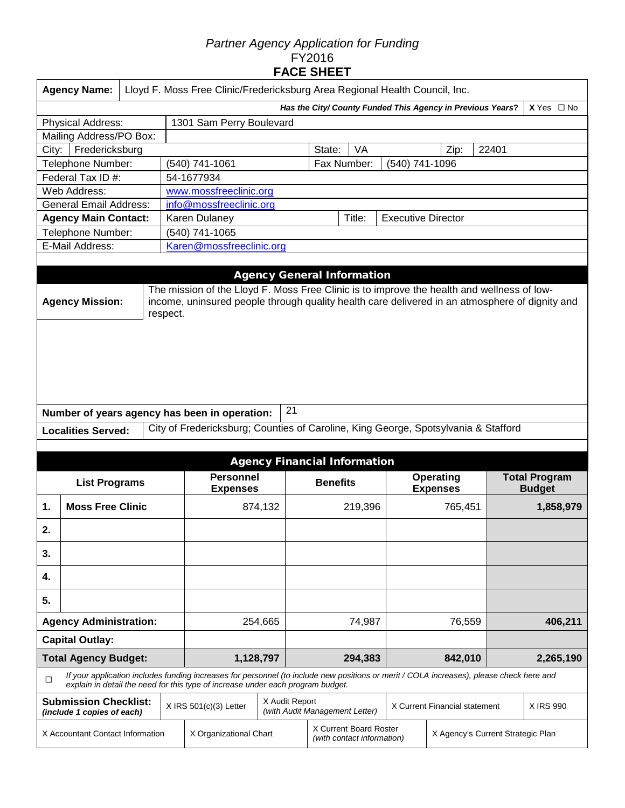## *Partner Agency Application for Funding*  FY2016 **FACE SHEET**

|                                  | Lloyd F. Moss Free Clinic/Fredericksburg Area Regional Health Council, Inc.<br><b>Agency Name:</b>                                                                                                                                 |  |  |                                                                                                                                                                                                                             |                        |        |                                     |           |                           |                                     |         |                                       |  |  |
|----------------------------------|------------------------------------------------------------------------------------------------------------------------------------------------------------------------------------------------------------------------------------|--|--|-----------------------------------------------------------------------------------------------------------------------------------------------------------------------------------------------------------------------------|------------------------|--------|-------------------------------------|-----------|---------------------------|-------------------------------------|---------|---------------------------------------|--|--|
|                                  | $X$ Yes $\Box$ No<br>Has the City/ County Funded This Agency in Previous Years?                                                                                                                                                    |  |  |                                                                                                                                                                                                                             |                        |        |                                     |           |                           |                                     |         |                                       |  |  |
|                                  | <b>Physical Address:</b><br>1301 Sam Perry Boulevard                                                                                                                                                                               |  |  |                                                                                                                                                                                                                             |                        |        |                                     |           |                           |                                     |         |                                       |  |  |
|                                  | Mailing Address/PO Box:                                                                                                                                                                                                            |  |  |                                                                                                                                                                                                                             |                        |        |                                     |           |                           |                                     |         |                                       |  |  |
| City:                            | Fredericksburg                                                                                                                                                                                                                     |  |  |                                                                                                                                                                                                                             |                        |        | State:                              | <b>VA</b> |                           | Zip:                                | 22401   |                                       |  |  |
|                                  | Telephone Number:                                                                                                                                                                                                                  |  |  | (540) 741-1061                                                                                                                                                                                                              |                        |        | Fax Number:                         |           | (540) 741-1096            |                                     |         |                                       |  |  |
|                                  | Federal Tax ID #:                                                                                                                                                                                                                  |  |  | 54-1677934                                                                                                                                                                                                                  |                        |        |                                     |           |                           |                                     |         |                                       |  |  |
|                                  | Web Address:                                                                                                                                                                                                                       |  |  |                                                                                                                                                                                                                             | www.mossfreeclinic.org |        |                                     |           |                           |                                     |         |                                       |  |  |
|                                  | <b>General Email Address:</b>                                                                                                                                                                                                      |  |  | info@mossfreeclinic.org                                                                                                                                                                                                     |                        |        |                                     |           |                           |                                     |         |                                       |  |  |
|                                  | <b>Agency Main Contact:</b>                                                                                                                                                                                                        |  |  | Karen Dulaney                                                                                                                                                                                                               |                        |        |                                     | Title:    | <b>Executive Director</b> |                                     |         |                                       |  |  |
|                                  | Telephone Number:                                                                                                                                                                                                                  |  |  | (540) 741-1065                                                                                                                                                                                                              |                        |        |                                     |           |                           |                                     |         |                                       |  |  |
|                                  | E-Mail Address:                                                                                                                                                                                                                    |  |  | Karen@mossfreeclinic.org                                                                                                                                                                                                    |                        |        |                                     |           |                           |                                     |         |                                       |  |  |
|                                  |                                                                                                                                                                                                                                    |  |  |                                                                                                                                                                                                                             |                        |        | <b>Agency General Information</b>   |           |                           |                                     |         |                                       |  |  |
|                                  | The mission of the Lloyd F. Moss Free Clinic is to improve the health and wellness of low-<br>income, uninsured people through quality health care delivered in an atmosphere of dignity and<br><b>Agency Mission:</b><br>respect. |  |  |                                                                                                                                                                                                                             |                        |        |                                     |           |                           |                                     |         |                                       |  |  |
|                                  |                                                                                                                                                                                                                                    |  |  | Number of years agency has been in operation:                                                                                                                                                                               | 21                     |        |                                     |           |                           |                                     |         |                                       |  |  |
|                                  | <b>Localities Served:</b>                                                                                                                                                                                                          |  |  | City of Fredericksburg; Counties of Caroline, King George, Spotsylvania & Stafford                                                                                                                                          |                        |        |                                     |           |                           |                                     |         |                                       |  |  |
|                                  |                                                                                                                                                                                                                                    |  |  |                                                                                                                                                                                                                             |                        |        |                                     |           |                           |                                     |         |                                       |  |  |
|                                  |                                                                                                                                                                                                                                    |  |  |                                                                                                                                                                                                                             |                        |        | <b>Agency Financial Information</b> |           |                           |                                     |         |                                       |  |  |
|                                  | <b>List Programs</b>                                                                                                                                                                                                               |  |  | <b>Personnel</b><br><b>Expenses</b>                                                                                                                                                                                         |                        |        | <b>Benefits</b>                     |           |                           | <b>Operating</b><br><b>Expenses</b> |         | <b>Total Program</b><br><b>Budget</b> |  |  |
| 1.                               | <b>Moss Free Clinic</b>                                                                                                                                                                                                            |  |  | 874,132                                                                                                                                                                                                                     |                        |        |                                     | 219,396   |                           | 765,451                             |         | 1,858,979                             |  |  |
| 2.                               |                                                                                                                                                                                                                                    |  |  |                                                                                                                                                                                                                             |                        |        |                                     |           |                           |                                     |         |                                       |  |  |
| 3.                               |                                                                                                                                                                                                                                    |  |  |                                                                                                                                                                                                                             |                        |        |                                     |           |                           |                                     |         |                                       |  |  |
| 4.                               |                                                                                                                                                                                                                                    |  |  |                                                                                                                                                                                                                             |                        |        |                                     |           |                           |                                     |         |                                       |  |  |
| 5.                               |                                                                                                                                                                                                                                    |  |  |                                                                                                                                                                                                                             |                        |        |                                     |           |                           |                                     |         |                                       |  |  |
| <b>Agency Administration:</b>    |                                                                                                                                                                                                                                    |  |  |                                                                                                                                                                                                                             | 254,665                | 74,987 |                                     |           | 76,559                    |                                     | 406,211 |                                       |  |  |
|                                  | <b>Capital Outlay:</b>                                                                                                                                                                                                             |  |  |                                                                                                                                                                                                                             |                        |        |                                     |           |                           |                                     |         |                                       |  |  |
| <b>Total Agency Budget:</b>      |                                                                                                                                                                                                                                    |  |  | 1,128,797                                                                                                                                                                                                                   |                        |        | 294,383                             |           |                           | 842,010                             |         | 2,265,190                             |  |  |
| □                                |                                                                                                                                                                                                                                    |  |  | If your application includes funding increases for personnel (to include new positions or merit / COLA increases), please check here and<br>explain in detail the need for this type of increase under each program budget. |                        |        |                                     |           |                           |                                     |         |                                       |  |  |
|                                  | <b>Submission Checklist:</b><br>(include 1 copies of each)                                                                                                                                                                         |  |  | $X$ IRS 501(c)(3) Letter                                                                                                                                                                                                    | X Audit Report         |        | (with Audit Management Letter)      |           |                           | X Current Financial statement       |         | X IRS 990                             |  |  |
| X Accountant Contact Information |                                                                                                                                                                                                                                    |  |  | X Current Board Roster<br>X Organizational Chart<br>X Agency's Current Strategic Plan<br>(with contact information)                                                                                                         |                        |        |                                     |           |                           |                                     |         |                                       |  |  |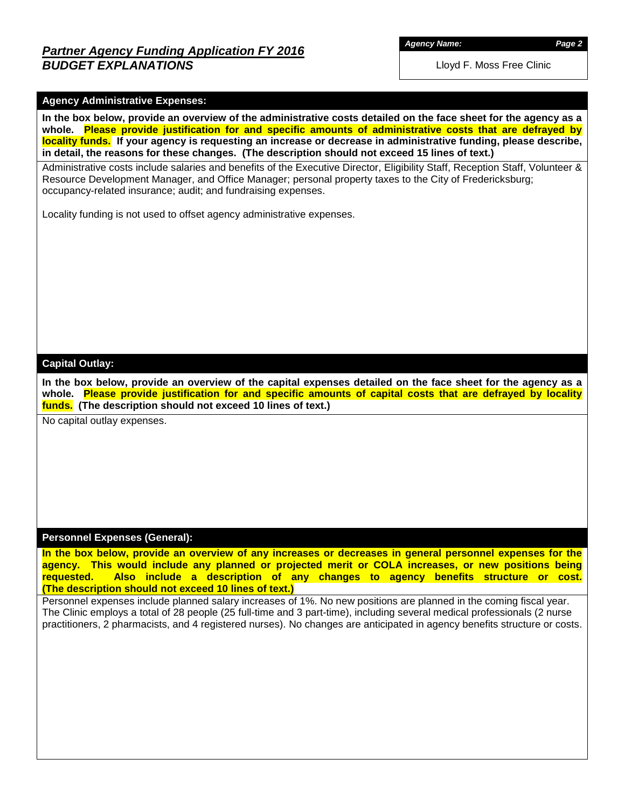# *Partner Agency Funding Application FY 2016 BUDGET EXPLANATIONS*

*Agency Name: Page 2*

Lloyd F. Moss Free Clinic

## **Agency Administrative Expenses:**

**In the box below, provide an overview of the administrative costs detailed on the face sheet for the agency as a whole. Please provide justification for and specific amounts of administrative costs that are defrayed by locality funds. If your agency is requesting an increase or decrease in administrative funding, please describe, in detail, the reasons for these changes. (The description should not exceed 15 lines of text.)**

Administrative costs include salaries and benefits of the Executive Director, Eligibility Staff, Reception Staff, Volunteer & Resource Development Manager, and Office Manager; personal property taxes to the City of Fredericksburg; occupancy-related insurance; audit; and fundraising expenses.

Locality funding is not used to offset agency administrative expenses.

#### **Capital Outlay:**

**In the box below, provide an overview of the capital expenses detailed on the face sheet for the agency as a whole. Please provide justification for and specific amounts of capital costs that are defrayed by locality funds. (The description should not exceed 10 lines of text.)**

No capital outlay expenses.

#### **Personnel Expenses (General):**

**In the box below, provide an overview of any increases or decreases in general personnel expenses for the agency. This would include any planned or projected merit or COLA increases, or new positions being requested. Also include a description of any changes to agency benefits structure or cost. (The description should not exceed 10 lines of text.)**

Personnel expenses include planned salary increases of 1%. No new positions are planned in the coming fiscal year. The Clinic employs a total of 28 people (25 full-time and 3 part-time), including several medical professionals (2 nurse practitioners, 2 pharmacists, and 4 registered nurses). No changes are anticipated in agency benefits structure or costs.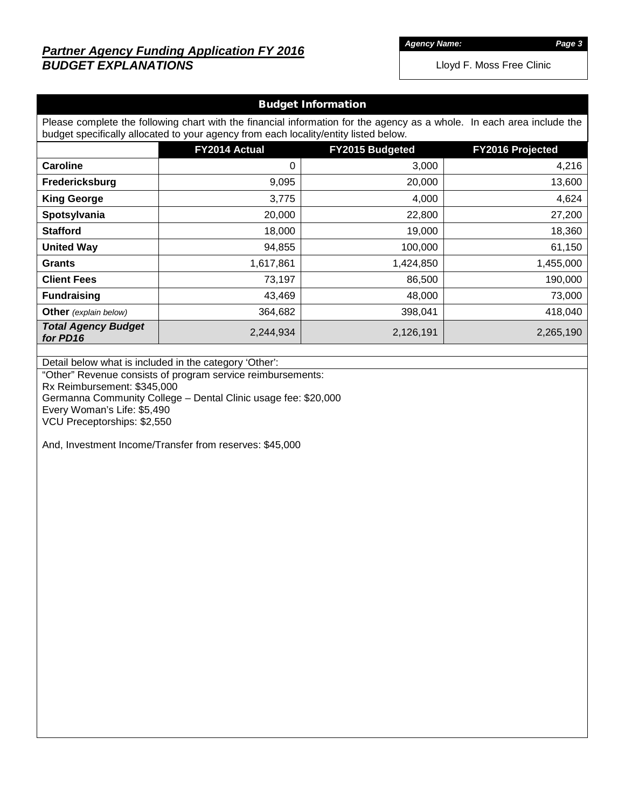# *Partner Agency Funding Application FY 2016 BUDGET EXPLANATIONS*

*Agency Name: Page 3*

| <b>Budget Information</b>                                                                                                                                                                                                                                                                                                                                   |               |                 |                  |  |  |  |  |  |  |  |  |
|-------------------------------------------------------------------------------------------------------------------------------------------------------------------------------------------------------------------------------------------------------------------------------------------------------------------------------------------------------------|---------------|-----------------|------------------|--|--|--|--|--|--|--|--|
| Please complete the following chart with the financial information for the agency as a whole. In each area include the                                                                                                                                                                                                                                      |               |                 |                  |  |  |  |  |  |  |  |  |
| budget specifically allocated to your agency from each locality/entity listed below.                                                                                                                                                                                                                                                                        |               |                 |                  |  |  |  |  |  |  |  |  |
|                                                                                                                                                                                                                                                                                                                                                             | FY2014 Actual | FY2015 Budgeted | FY2016 Projected |  |  |  |  |  |  |  |  |
| <b>Caroline</b>                                                                                                                                                                                                                                                                                                                                             | $\pmb{0}$     | 3,000           | 4,216            |  |  |  |  |  |  |  |  |
| Fredericksburg                                                                                                                                                                                                                                                                                                                                              | 9,095         | 20,000          | 13,600           |  |  |  |  |  |  |  |  |
| <b>King George</b>                                                                                                                                                                                                                                                                                                                                          | 3,775         | 4,000           | 4,624            |  |  |  |  |  |  |  |  |
| Spotsylvania                                                                                                                                                                                                                                                                                                                                                | 20,000        | 22,800          | 27,200           |  |  |  |  |  |  |  |  |
| <b>Stafford</b>                                                                                                                                                                                                                                                                                                                                             | 18,000        | 19,000          | 18,360           |  |  |  |  |  |  |  |  |
| <b>United Way</b>                                                                                                                                                                                                                                                                                                                                           | 94,855        | 100,000         | 61,150           |  |  |  |  |  |  |  |  |
| <b>Grants</b>                                                                                                                                                                                                                                                                                                                                               | 1,617,861     | 1,424,850       | 1,455,000        |  |  |  |  |  |  |  |  |
| <b>Client Fees</b>                                                                                                                                                                                                                                                                                                                                          | 73,197        | 86,500          | 190,000          |  |  |  |  |  |  |  |  |
| <b>Fundraising</b>                                                                                                                                                                                                                                                                                                                                          | 43,469        | 48,000          | 73,000           |  |  |  |  |  |  |  |  |
| Other (explain below)                                                                                                                                                                                                                                                                                                                                       | 364,682       | 398,041         | 418,040          |  |  |  |  |  |  |  |  |
| <b>Total Agency Budget</b>                                                                                                                                                                                                                                                                                                                                  | 2,244,934     | 2,126,191       | 2,265,190        |  |  |  |  |  |  |  |  |
|                                                                                                                                                                                                                                                                                                                                                             |               |                 |                  |  |  |  |  |  |  |  |  |
|                                                                                                                                                                                                                                                                                                                                                             |               |                 |                  |  |  |  |  |  |  |  |  |
| for PD16<br>Detail below what is included in the category 'Other':<br>"Other" Revenue consists of program service reimbursements:<br>Rx Reimbursement: \$345,000<br>Germanna Community College - Dental Clinic usage fee: \$20,000<br>Every Woman's Life: \$5,490<br>VCU Preceptorships: \$2,550<br>And, Investment Income/Transfer from reserves: \$45,000 |               |                 |                  |  |  |  |  |  |  |  |  |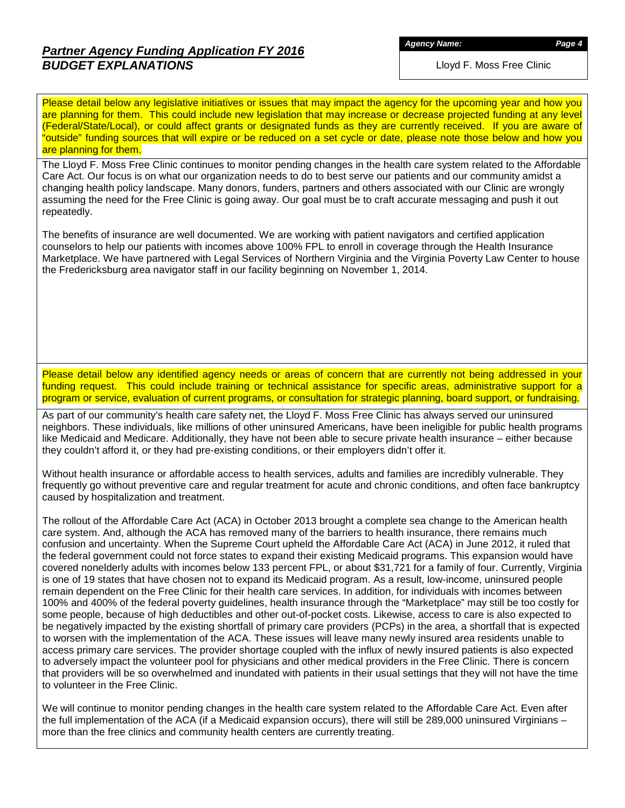# *Partner Agency Funding Application FY 2016 BUDGET EXPLANATIONS*

*Agency Name: Page 4*

Lloyd F. Moss Free Clinic

Please detail below any legislative initiatives or issues that may impact the agency for the upcoming year and how you are planning for them. This could include new legislation that may increase or decrease projected funding at any level (Federal/State/Local), or could affect grants or designated funds as they are currently received. If you are aware of "outside" funding sources that will expire or be reduced on a set cycle or date, please note those below and how you are planning for them.

The Lloyd F. Moss Free Clinic continues to monitor pending changes in the health care system related to the Affordable Care Act. Our focus is on what our organization needs to do to best serve our patients and our community amidst a changing health policy landscape. Many donors, funders, partners and others associated with our Clinic are wrongly assuming the need for the Free Clinic is going away. Our goal must be to craft accurate messaging and push it out repeatedly.

The benefits of insurance are well documented. We are working with patient navigators and certified application counselors to help our patients with incomes above 100% FPL to enroll in coverage through the Health Insurance Marketplace. We have partnered with Legal Services of Northern Virginia and the Virginia Poverty Law Center to house the Fredericksburg area navigator staff in our facility beginning on November 1, 2014.

Please detail below any identified agency needs or areas of concern that are currently not being addressed in your funding request. This could include training or technical assistance for specific areas, administrative support for a program or service, evaluation of current programs, or consultation for strategic planning, board support, or fundraising.

As part of our community's health care safety net, the Lloyd F. Moss Free Clinic has always served our uninsured neighbors. These individuals, like millions of other uninsured Americans, have been ineligible for public health programs like Medicaid and Medicare. Additionally, they have not been able to secure private health insurance – either because they couldn't afford it, or they had pre-existing conditions, or their employers didn't offer it.

Without health insurance or affordable access to health services, adults and families are incredibly vulnerable. They frequently go without preventive care and regular treatment for acute and chronic conditions, and often face bankruptcy caused by hospitalization and treatment.

The rollout of the Affordable Care Act (ACA) in October 2013 brought a complete sea change to the American health care system. And, although the ACA has removed many of the barriers to health insurance, there remains much confusion and uncertainty. When the Supreme Court upheld the Affordable Care Act (ACA) in June 2012, it ruled that the federal government could not force states to expand their existing Medicaid programs. This expansion would have covered nonelderly adults with incomes below 133 percent FPL, or about \$31,721 for a family of four. Currently, Virginia is one of 19 states that have chosen not to expand its Medicaid program. As a result, low-income, uninsured people remain dependent on the Free Clinic for their health care services. In addition, for individuals with incomes between 100% and 400% of the federal poverty guidelines, health insurance through the "Marketplace" may still be too costly for some people, because of high deductibles and other out-of-pocket costs. Likewise, access to care is also expected to be negatively impacted by the existing shortfall of primary care providers (PCPs) in the area, a shortfall that is expected to worsen with the implementation of the ACA. These issues will leave many newly insured area residents unable to access primary care services. The provider shortage coupled with the influx of newly insured patients is also expected to adversely impact the volunteer pool for physicians and other medical providers in the Free Clinic. There is concern that providers will be so overwhelmed and inundated with patients in their usual settings that they will not have the time to volunteer in the Free Clinic.

We will continue to monitor pending changes in the health care system related to the Affordable Care Act. Even after the full implementation of the ACA (if a Medicaid expansion occurs), there will still be 289,000 uninsured Virginians – more than the free clinics and community health centers are currently treating.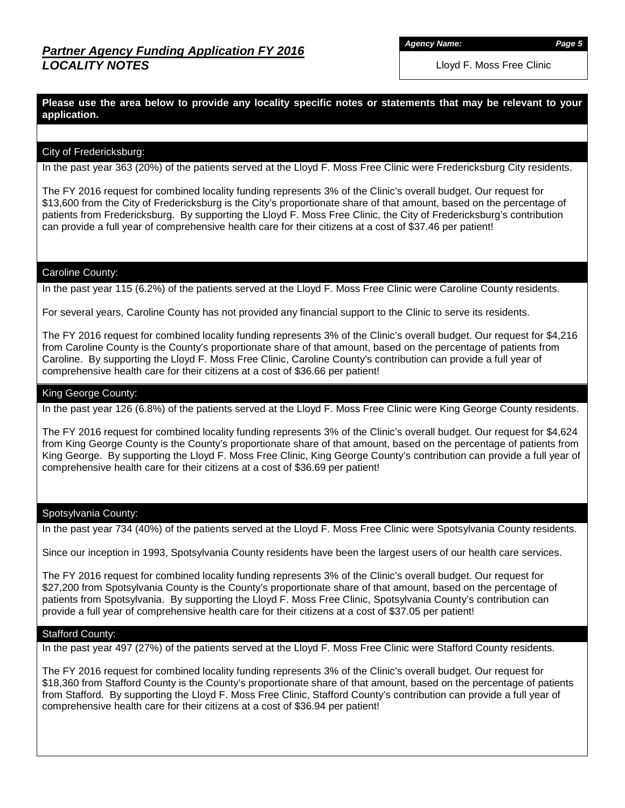*Agency Name: Page 5*

Lloyd F. Moss Free Clinic

**Please use the area below to provide any locality specific notes or statements that may be relevant to your application.**

## City of Fredericksburg:

In the past year 363 (20%) of the patients served at the Lloyd F. Moss Free Clinic were Fredericksburg City residents.

The FY 2016 request for combined locality funding represents 3% of the Clinic's overall budget. Our request for \$13,600 from the City of Fredericksburg is the City's proportionate share of that amount, based on the percentage of patients from Fredericksburg. By supporting the Lloyd F. Moss Free Clinic, the City of Fredericksburg's contribution can provide a full year of comprehensive health care for their citizens at a cost of \$37.46 per patient!

#### Caroline County:

In the past year 115 (6.2%) of the patients served at the Lloyd F. Moss Free Clinic were Caroline County residents.

For several years, Caroline County has not provided any financial support to the Clinic to serve its residents.

The FY 2016 request for combined locality funding represents 3% of the Clinic's overall budget. Our request for \$4,216 from Caroline County is the County's proportionate share of that amount, based on the percentage of patients from Caroline. By supporting the Lloyd F. Moss Free Clinic, Caroline County's contribution can provide a full year of comprehensive health care for their citizens at a cost of \$36.66 per patient!

#### King George County:

In the past year 126 (6.8%) of the patients served at the Lloyd F. Moss Free Clinic were King George County residents.

The FY 2016 request for combined locality funding represents 3% of the Clinic's overall budget. Our request for \$4,624 from King George County is the County's proportionate share of that amount, based on the percentage of patients from King George. By supporting the Lloyd F. Moss Free Clinic, King George County's contribution can provide a full year of comprehensive health care for their citizens at a cost of \$36.69 per patient!

#### Spotsylvania County:

In the past year 734 (40%) of the patients served at the Lloyd F. Moss Free Clinic were Spotsylvania County residents.

Since our inception in 1993, Spotsylvania County residents have been the largest users of our health care services.

The FY 2016 request for combined locality funding represents 3% of the Clinic's overall budget. Our request for \$27,200 from Spotsylvania County is the County's proportionate share of that amount, based on the percentage of patients from Spotsylvania. By supporting the Lloyd F. Moss Free Clinic, Spotsylvania County's contribution can provide a full year of comprehensive health care for their citizens at a cost of \$37.05 per patient!

#### Stafford County:

In the past year 497 (27%) of the patients served at the Lloyd F. Moss Free Clinic were Stafford County residents.

The FY 2016 request for combined locality funding represents 3% of the Clinic's overall budget. Our request for \$18,360 from Stafford County is the County's proportionate share of that amount, based on the percentage of patients from Stafford. By supporting the Lloyd F. Moss Free Clinic, Stafford County's contribution can provide a full year of comprehensive health care for their citizens at a cost of \$36.94 per patient!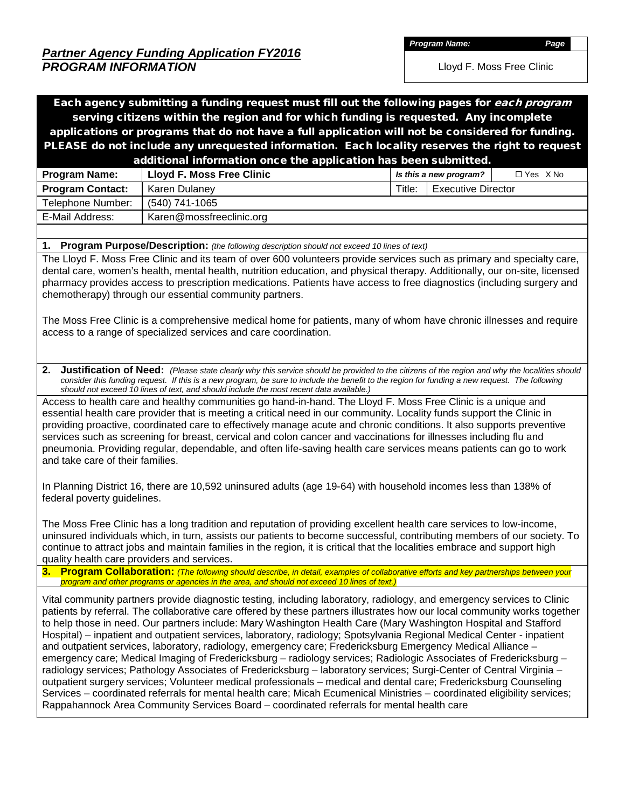*Partner Agency Funding Application FY2016 PROGRAM INFORMATION*

*Program Name: Page*

Lloyd F. Moss Free Clinic

Each agency submitting a funding request must fill out the following pages for *each program* serving citizens within the region and for which funding is requested. Any incomplete applications or programs that do not have a full application will not be considered for funding. PLEASE do not include any unrequested information. Each locality reserves the right to request additional information once the application has been submitted.

| <b>Program Name:</b>    | Lloyd F. Moss Free Clinic |        | Is this a new program? | $\Box$ Yes $X$ No |
|-------------------------|---------------------------|--------|------------------------|-------------------|
| <b>Program Contact:</b> | Karen Dulaney             | Title: | Executive Director     |                   |
| Telephone Number:       | (540) 741-1065            |        |                        |                   |
| E-Mail Address:         | Karen@mossfreeclinic.org  |        |                        |                   |

**1. Program Purpose/Description:** *(the following description should not exceed 10 lines of text)*

The Lloyd F. Moss Free Clinic and its team of over 600 volunteers provide services such as primary and specialty care, dental care, women's health, mental health, nutrition education, and physical therapy. Additionally, our on-site, licensed pharmacy provides access to prescription medications. Patients have access to free diagnostics (including surgery and chemotherapy) through our essential community partners.

The Moss Free Clinic is a comprehensive medical home for patients, many of whom have chronic illnesses and require access to a range of specialized services and care coordination.

**2. Justification of Need:** *(Please state clearly why this service should be provided to the citizens of the region and why the localities should consider this funding request. If this is a new program, be sure to include the benefit to the region for funding a new request. The following should not exceed 10 lines of text, and should include the most recent data available.)*

Access to health care and healthy communities go hand-in-hand. The Lloyd F. Moss Free Clinic is a unique and essential health care provider that is meeting a critical need in our community. Locality funds support the Clinic in providing proactive, coordinated care to effectively manage acute and chronic conditions. It also supports preventive services such as screening for breast, cervical and colon cancer and vaccinations for illnesses including flu and pneumonia. Providing regular, dependable, and often life-saving health care services means patients can go to work and take care of their families.

In Planning District 16, there are 10,592 uninsured adults (age 19-64) with household incomes less than 138% of federal poverty guidelines.

The Moss Free Clinic has a long tradition and reputation of providing excellent health care services to low-income, uninsured individuals which, in turn, assists our patients to become successful, contributing members of our society. To continue to attract jobs and maintain families in the region, it is critical that the localities embrace and support high quality health care providers and services.

**3. Program Collaboration:** *(The following should describe, in detail, examples of collaborative efforts and key partnerships between your program and other programs or agencies in the area, and should not exceed 10 lines of text.)*

Vital community partners provide diagnostic testing, including laboratory, radiology, and emergency services to Clinic patients by referral. The collaborative care offered by these partners illustrates how our local community works together to help those in need. Our partners include: Mary Washington Health Care (Mary Washington Hospital and Stafford Hospital) – inpatient and outpatient services, laboratory, radiology; Spotsylvania Regional Medical Center - inpatient and outpatient services, laboratory, radiology, emergency care; Fredericksburg Emergency Medical Alliance – emergency care; Medical Imaging of Fredericksburg – radiology services; Radiologic Associates of Fredericksburg – radiology services; Pathology Associates of Fredericksburg – laboratory services; Surgi-Center of Central Virginia – outpatient surgery services; Volunteer medical professionals – medical and dental care; Fredericksburg Counseling Services – coordinated referrals for mental health care; Micah Ecumenical Ministries – coordinated eligibility services; Rappahannock Area Community Services Board – coordinated referrals for mental health care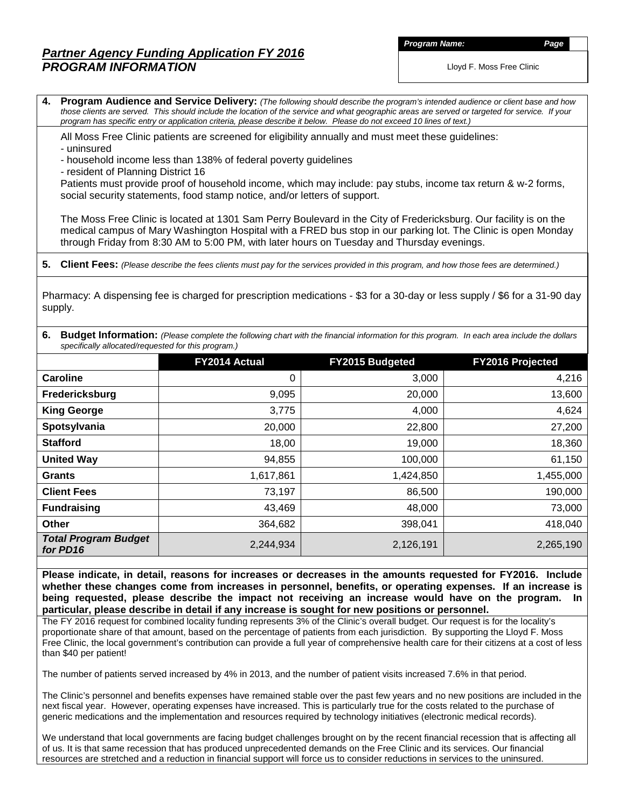## *Partner Agency Funding Application FY 2016 PROGRAM INFORMATION*

*Program Name: Page*

Lloyd F. Moss Free Clinic

**4. Program Audience and Service Delivery:** *(The following should describe the program's intended audience or client base and how those clients are served. This should include the location of the service and what geographic areas are served or targeted for service. If your program has specific entry or application criteria, please describe it below. Please do not exceed 10 lines of text.)*

All Moss Free Clinic patients are screened for eligibility annually and must meet these guidelines:

- uninsured

- household income less than 138% of federal poverty guidelines

- resident of Planning District 16

Patients must provide proof of household income, which may include: pay stubs, income tax return & w-2 forms, social security statements, food stamp notice, and/or letters of support.

The Moss Free Clinic is located at 1301 Sam Perry Boulevard in the City of Fredericksburg. Our facility is on the medical campus of Mary Washington Hospital with a FRED bus stop in our parking lot. The Clinic is open Monday through Friday from 8:30 AM to 5:00 PM, with later hours on Tuesday and Thursday evenings.

**5. Client Fees:** *(Please describe the fees clients must pay for the services provided in this program, and how those fees are determined.)*

Pharmacy: A dispensing fee is charged for prescription medications - \$3 for a 30-day or less supply / \$6 for a 31-90 day supply.

|                                                     | 6. Budget Information: (Please complete the following chart with the financial information for this program. In each area include the dollars |  |
|-----------------------------------------------------|-----------------------------------------------------------------------------------------------------------------------------------------------|--|
| specifically allocated/requested for this program.) |                                                                                                                                               |  |

|                                         | <b>FY2014 Actual</b> | <b>FY2015 Budgeted</b> | <b>FY2016 Projected</b> |
|-----------------------------------------|----------------------|------------------------|-------------------------|
| Caroline                                | 0                    | 3,000                  | 4,216                   |
| Fredericksburg                          | 9,095                | 20,000                 | 13,600                  |
| <b>King George</b>                      | 3,775                | 4,000                  | 4,624                   |
| Spotsylvania                            | 20,000               | 22,800                 | 27,200                  |
| <b>Stafford</b>                         | 18,00                | 19,000                 | 18,360                  |
| <b>United Way</b>                       | 94,855               | 100,000                | 61,150                  |
| <b>Grants</b>                           | 1,617,861            | 1,424,850              | 1,455,000               |
| <b>Client Fees</b>                      | 73,197               | 86,500                 | 190,000                 |
| <b>Fundraising</b>                      | 43,469               | 48,000                 | 73,000                  |
| <b>Other</b>                            | 364,682              | 398,041                | 418,040                 |
| <b>Total Program Budget</b><br>for PD16 | 2,244,934            | 2,126,191              | 2,265,190               |

**Please indicate, in detail, reasons for increases or decreases in the amounts requested for FY2016. Include whether these changes come from increases in personnel, benefits, or operating expenses. If an increase is being requested, please describe the impact not receiving an increase would have on the program. In particular, please describe in detail if any increase is sought for new positions or personnel.**

The FY 2016 request for combined locality funding represents 3% of the Clinic's overall budget. Our request is for the locality's proportionate share of that amount, based on the percentage of patients from each jurisdiction. By supporting the Lloyd F. Moss Free Clinic, the local government's contribution can provide a full year of comprehensive health care for their citizens at a cost of less than \$40 per patient!

The number of patients served increased by 4% in 2013, and the number of patient visits increased 7.6% in that period.

The Clinic's personnel and benefits expenses have remained stable over the past few years and no new positions are included in the next fiscal year. However, operating expenses have increased. This is particularly true for the costs related to the purchase of generic medications and the implementation and resources required by technology initiatives (electronic medical records).

We understand that local governments are facing budget challenges brought on by the recent financial recession that is affecting all of us. It is that same recession that has produced unprecedented demands on the Free Clinic and its services. Our financial resources are stretched and a reduction in financial support will force us to consider reductions in services to the uninsured.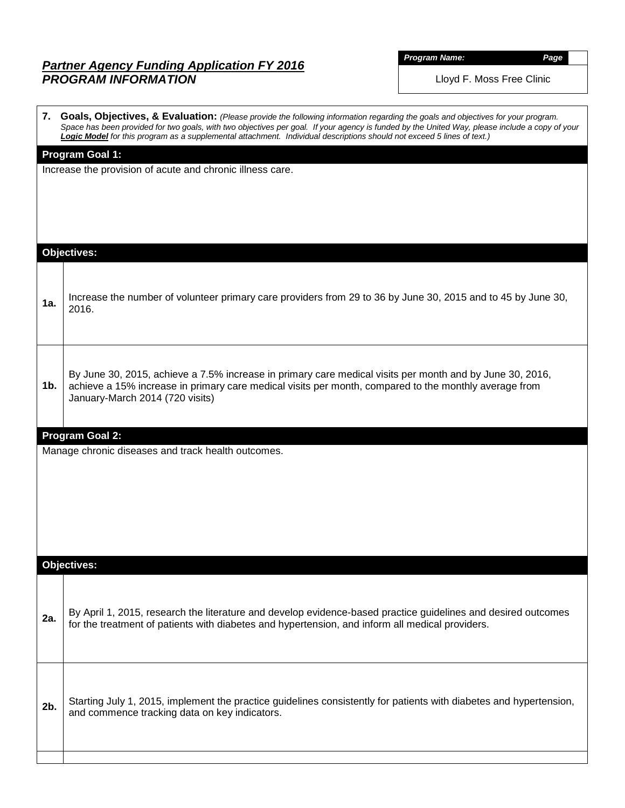# *Partner Agency Funding Application FY 2016 PROGRAM INFORMATION*

| <b>Program Name.</b> |  |
|----------------------|--|
|                      |  |

*Program Name: Page*

|     | 7. Goals, Objectives, & Evaluation: (Please provide the following information regarding the goals and objectives for your program.<br>Space has been provided for two goals, with two objectives per goal. If your agency is funded by the United Way, please include a copy of your<br>Logic Model for this program as a supplemental attachment. Individual descriptions should not exceed 5 lines of text.) |  |  |  |  |  |  |  |  |  |  |
|-----|----------------------------------------------------------------------------------------------------------------------------------------------------------------------------------------------------------------------------------------------------------------------------------------------------------------------------------------------------------------------------------------------------------------|--|--|--|--|--|--|--|--|--|--|
|     | <b>Program Goal 1:</b><br>Increase the provision of acute and chronic illness care.                                                                                                                                                                                                                                                                                                                            |  |  |  |  |  |  |  |  |  |  |
|     | <b>Objectives:</b>                                                                                                                                                                                                                                                                                                                                                                                             |  |  |  |  |  |  |  |  |  |  |
| 1a. | Increase the number of volunteer primary care providers from 29 to 36 by June 30, 2015 and to 45 by June 30,<br>2016.                                                                                                                                                                                                                                                                                          |  |  |  |  |  |  |  |  |  |  |
| 1b. | By June 30, 2015, achieve a 7.5% increase in primary care medical visits per month and by June 30, 2016,<br>achieve a 15% increase in primary care medical visits per month, compared to the monthly average from<br>January-March 2014 (720 visits)                                                                                                                                                           |  |  |  |  |  |  |  |  |  |  |
|     | <b>Program Goal 2:</b>                                                                                                                                                                                                                                                                                                                                                                                         |  |  |  |  |  |  |  |  |  |  |
|     | Manage chronic diseases and track health outcomes.                                                                                                                                                                                                                                                                                                                                                             |  |  |  |  |  |  |  |  |  |  |
|     | <b>Objectives:</b>                                                                                                                                                                                                                                                                                                                                                                                             |  |  |  |  |  |  |  |  |  |  |
| 2a. | By April 1, 2015, research the literature and develop evidence-based practice guidelines and desired outcomes<br>for the treatment of patients with diabetes and hypertension, and inform all medical providers.                                                                                                                                                                                               |  |  |  |  |  |  |  |  |  |  |
| 2b. | Starting July 1, 2015, implement the practice guidelines consistently for patients with diabetes and hypertension,<br>and commence tracking data on key indicators.                                                                                                                                                                                                                                            |  |  |  |  |  |  |  |  |  |  |
|     |                                                                                                                                                                                                                                                                                                                                                                                                                |  |  |  |  |  |  |  |  |  |  |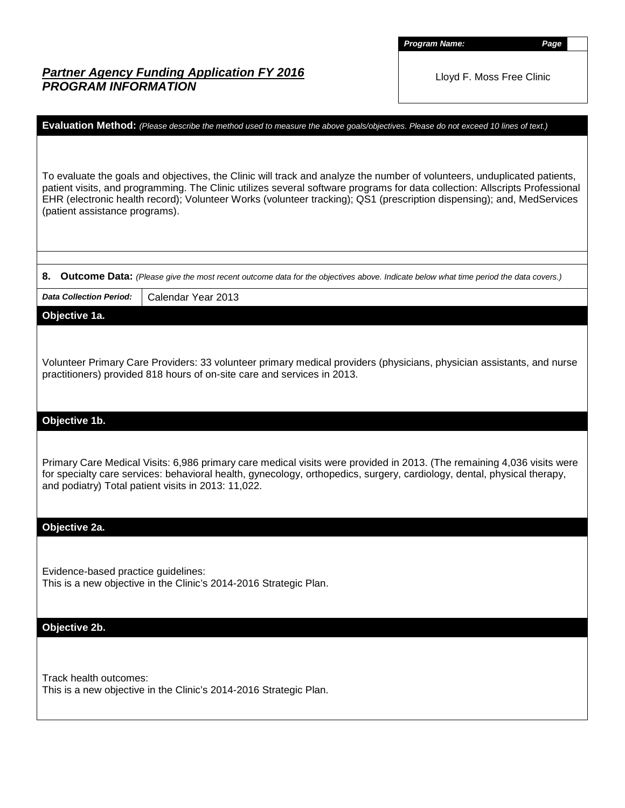*Program Name: Page*

# *Partner Agency Funding Application FY 2016 PROGRAM INFORMATION*

| Evaluation Method: (Please describe the method used to measure the above goals/objectives. Please do not exceed 10 lines of text.)                                                                                                                                                                                                                                                                                 |
|--------------------------------------------------------------------------------------------------------------------------------------------------------------------------------------------------------------------------------------------------------------------------------------------------------------------------------------------------------------------------------------------------------------------|
| To evaluate the goals and objectives, the Clinic will track and analyze the number of volunteers, unduplicated patients,<br>patient visits, and programming. The Clinic utilizes several software programs for data collection: Allscripts Professional<br>EHR (electronic health record); Volunteer Works (volunteer tracking); QS1 (prescription dispensing); and, MedServices<br>(patient assistance programs). |
| 8.<br>Outcome Data: (Please give the most recent outcome data for the objectives above. Indicate below what time period the data covers.)                                                                                                                                                                                                                                                                          |
| Calendar Year 2013<br><b>Data Collection Period:</b>                                                                                                                                                                                                                                                                                                                                                               |
| Objective 1a.                                                                                                                                                                                                                                                                                                                                                                                                      |
| Volunteer Primary Care Providers: 33 volunteer primary medical providers (physicians, physician assistants, and nurse<br>practitioners) provided 818 hours of on-site care and services in 2013.                                                                                                                                                                                                                   |
| Objective 1b.                                                                                                                                                                                                                                                                                                                                                                                                      |
| Primary Care Medical Visits: 6,986 primary care medical visits were provided in 2013. (The remaining 4,036 visits were<br>for specialty care services: behavioral health, gynecology, orthopedics, surgery, cardiology, dental, physical therapy,<br>and podiatry) Total patient visits in 2013: 11,022.                                                                                                           |
| Objective 2a.                                                                                                                                                                                                                                                                                                                                                                                                      |
| Evidence-based practice guidelines:<br>This is a new objective in the Clinic's 2014-2016 Strategic Plan.                                                                                                                                                                                                                                                                                                           |
| Objective 2b.                                                                                                                                                                                                                                                                                                                                                                                                      |
| Track health outcomes:<br>This is a new objective in the Clinic's 2014-2016 Strategic Plan.                                                                                                                                                                                                                                                                                                                        |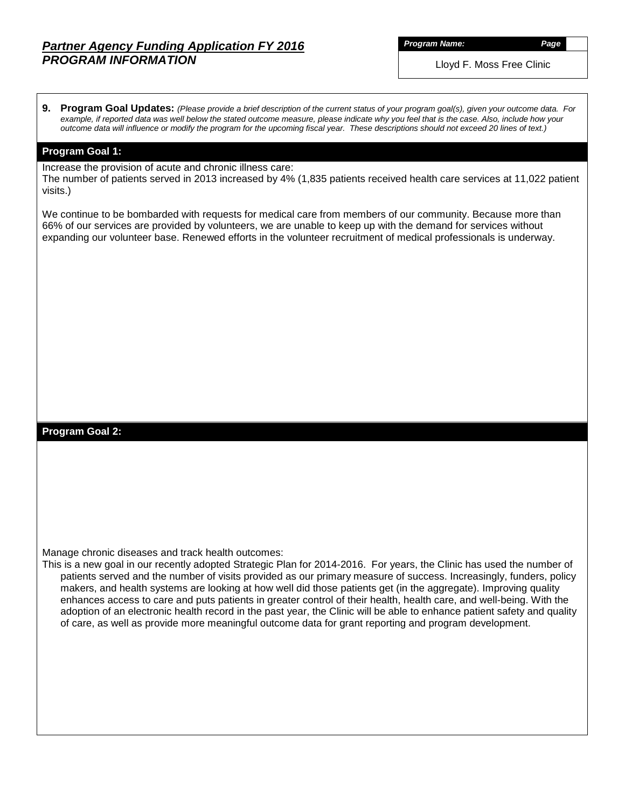## *Partner Agency Funding Application FY 2016 PROGRAM INFORMATION*

*Program Name: Page*

**9. Program Goal Updates:** *(Please provide a brief description of the current status of your program goal(s), given your outcome data. For example, if reported data was well below the stated outcome measure, please indicate why you feel that is the case. Also, include how your outcome data will influence or modify the program for the upcoming fiscal year. These descriptions should not exceed 20 lines of text.)*

#### **Program Goal 1:**

Increase the provision of acute and chronic illness care:

The number of patients served in 2013 increased by 4% (1,835 patients received health care services at 11,022 patient visits.)

We continue to be bombarded with requests for medical care from members of our community. Because more than 66% of our services are provided by volunteers, we are unable to keep up with the demand for services without expanding our volunteer base. Renewed efforts in the volunteer recruitment of medical professionals is underway.

#### **Program Goal 2:**

Manage chronic diseases and track health outcomes:

This is a new goal in our recently adopted Strategic Plan for 2014-2016. For years, the Clinic has used the number of patients served and the number of visits provided as our primary measure of success. Increasingly, funders, policy makers, and health systems are looking at how well did those patients get (in the aggregate). Improving quality enhances access to care and puts patients in greater control of their health, health care, and well-being. With the adoption of an electronic health record in the past year, the Clinic will be able to enhance patient safety and quality of care, as well as provide more meaningful outcome data for grant reporting and program development.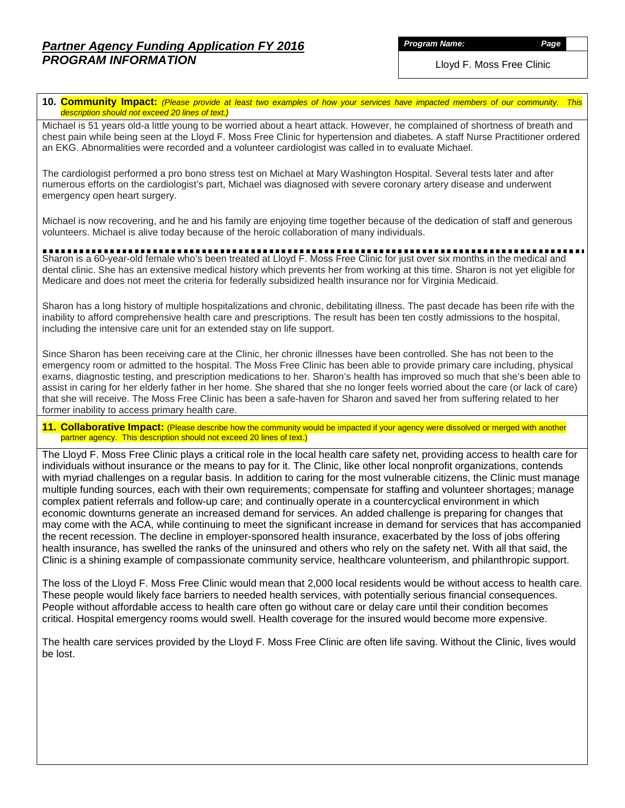*Program Name: Page*

Lloyd F. Moss Free Clinic

**10. Community Impact:** *(Please provide at least two examples of how your services have impacted members of our community. This description should not exceed 20 lines of text.)*

Michael is 51 years old-a little young to be worried about a heart attack. However, he complained of shortness of breath and chest pain while being seen at the Lloyd F. Moss Free Clinic for hypertension and diabetes. A staff Nurse Practitioner ordered an EKG. Abnormalities were recorded and a volunteer cardiologist was called in to evaluate Michael.

The cardiologist performed a pro bono stress test on Michael at Mary Washington Hospital. Several tests later and after numerous efforts on the cardiologist's part, Michael was diagnosed with severe coronary artery disease and underwent emergency open heart surgery.

Michael is now recovering, and he and his family are enjoying time together because of the dedication of staff and generous volunteers. Michael is alive today because of the heroic collaboration of many individuals.

Sharon is a 60-year-old female who's been treated at Lloyd F. Moss Free Clinic for just over six months in the medical and dental clinic. She has an extensive medical history which prevents her from working at this time. Sharon is not yet eligible for Medicare and does not meet the criteria for federally subsidized health insurance nor for Virginia Medicaid.

Sharon has a long history of multiple hospitalizations and chronic, debilitating illness. The past decade has been rife with the inability to afford comprehensive health care and prescriptions. The result has been ten costly admissions to the hospital, including the intensive care unit for an extended stay on life support.

Since Sharon has been receiving care at the Clinic, her chronic illnesses have been controlled. She has not been to the emergency room or admitted to the hospital. The Moss Free Clinic has been able to provide primary care including, physical exams, diagnostic testing, and prescription medications to her. Sharon's health has improved so much that she's been able to assist in caring for her elderly father in her home. She shared that she no longer feels worried about the care (or lack of care) that she will receive. The Moss Free Clinic has been a safe-haven for Sharon and saved her from suffering related to her former inability to access primary health care.

**11. Collaborative Impact:** (Please describe how the community would be impacted if your agency were dissolved or merged with another partner agency. This description should not exceed 20 lines of text.)

The Lloyd F. Moss Free Clinic plays a critical role in the local health care safety net, providing access to health care for individuals without insurance or the means to pay for it. The Clinic, like other local nonprofit organizations, contends with myriad challenges on a regular basis. In addition to caring for the most vulnerable citizens, the Clinic must manage multiple funding sources, each with their own requirements; compensate for staffing and volunteer shortages; manage complex patient referrals and follow-up care; and continually operate in a countercyclical environment in which economic downturns generate an increased demand for services. An added challenge is preparing for changes that may come with the ACA, while continuing to meet the significant increase in demand for services that has accompanied the recent recession. The decline in employer-sponsored health insurance, exacerbated by the loss of jobs offering health insurance, has swelled the ranks of the uninsured and others who rely on the safety net. With all that said, the Clinic is a shining example of compassionate community service, healthcare volunteerism, and philanthropic support.

The loss of the Lloyd F. Moss Free Clinic would mean that 2,000 local residents would be without access to health care. These people would likely face barriers to needed health services, with potentially serious financial consequences. People without affordable access to health care often go without care or delay care until their condition becomes critical. Hospital emergency rooms would swell. Health coverage for the insured would become more expensive.

The health care services provided by the Lloyd F. Moss Free Clinic are often life saving. Without the Clinic, lives would be lost.